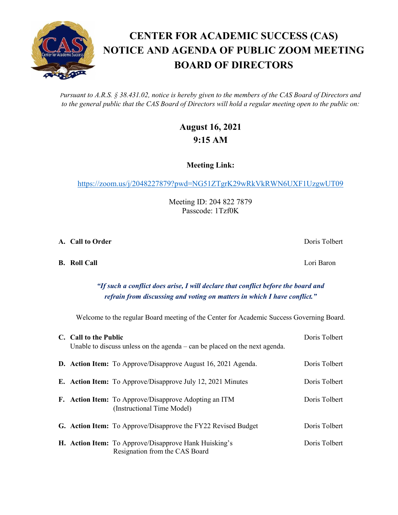*Pursuant to A.R.S. § 38.431.02, notice is hereby given to the members of the CAS Board of Directors and to the general public that the CAS Board of Directors will hold a regular meeting open to the public on:*

## **August 16, 2021 9:15 AM**

**Meeting Link:**

<https://zoom.us/j/2048227879?pwd=NG51ZTgrK29wRkVkRWN6UXF1UzgwUT09>

Meeting ID: 204 822 7879 Passcode: 1Tzf0K

**A. Call to Order** Doris Tolbert **Doris Tolbert** 

**B. Roll Call** Lori Baron

## *"If such a conflict does arise, I will declare that conflict before the board and refrain from discussing and voting on matters in which I have conflict."*

Welcome to the regular Board meeting of the Center for Academic Success Governing Board.

| C. Call to the Public<br>Unable to discuss unless on the agenda $-\text{can}$ be placed on the next agenda. |                                                                                                | Doris Tolbert |
|-------------------------------------------------------------------------------------------------------------|------------------------------------------------------------------------------------------------|---------------|
|                                                                                                             | <b>D.</b> Action Item: To Approve/Disapprove August 16, 2021 Agenda.                           | Doris Tolbert |
|                                                                                                             | <b>E.</b> Action Item: To Approve/Disapprove July 12, 2021 Minutes                             | Doris Tolbert |
|                                                                                                             | <b>F.</b> Action Item: To Approve/Disapprove Adopting an ITM<br>(Instructional Time Model)     | Doris Tolbert |
|                                                                                                             | G. Action Item: To Approve/Disapprove the FY22 Revised Budget                                  | Doris Tolbert |
|                                                                                                             | <b>H. Action Item:</b> To Approve/Disapprove Hank Huisking's<br>Resignation from the CAS Board | Doris Tolbert |

## **CENTER FOR ACADEMIC SUCCESS (CAS) NOTICE AND AGENDA OF PUBLIC ZOOM MEETING BOARD OF DIRECTORS**